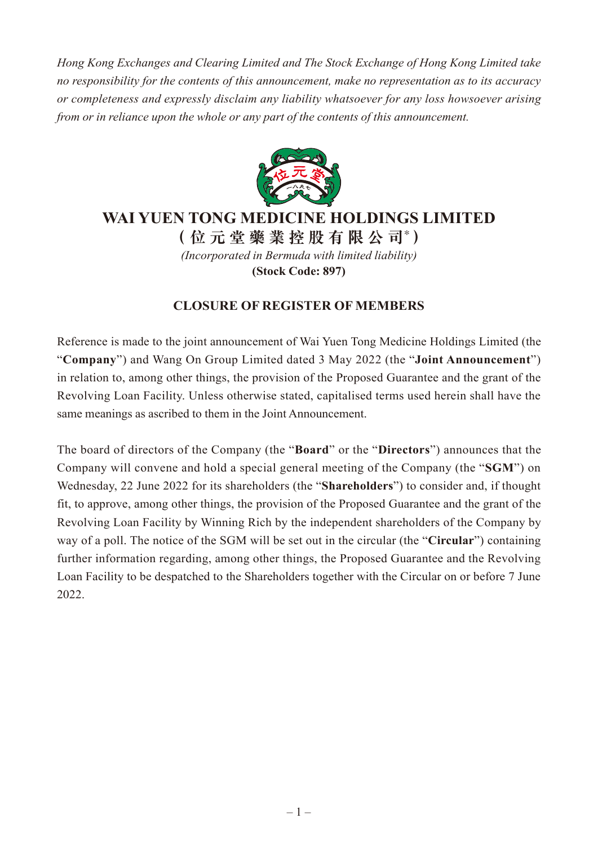*Hong Kong Exchanges and Clearing Limited and The Stock Exchange of Hong Kong Limited take no responsibility for the contents of this announcement, make no representation as to its accuracy or completeness and expressly disclaim any liability whatsoever for any loss howsoever arising from or in reliance upon the whole or any part of the contents of this announcement.*



## **WAI YUEN TONG MEDICINE HOLDINGS LIMITED**

**(位元堂藥業控股有限公司\* )** *(Incorporated in Bermuda with limited liability)* **(Stock Code: 897)**

## **CLOSURE OF REGISTER OF MEMBERS**

Reference is made to the joint announcement of Wai Yuen Tong Medicine Holdings Limited (the "**Company**") and Wang On Group Limited dated 3 May 2022 (the "**Joint Announcement**") in relation to, among other things, the provision of the Proposed Guarantee and the grant of the Revolving Loan Facility. Unless otherwise stated, capitalised terms used herein shall have the same meanings as ascribed to them in the Joint Announcement.

The board of directors of the Company (the "**Board**" or the "**Directors**") announces that the Company will convene and hold a special general meeting of the Company (the "**SGM**") on Wednesday, 22 June 2022 for its shareholders (the "**Shareholders**") to consider and, if thought fit, to approve, among other things, the provision of the Proposed Guarantee and the grant of the Revolving Loan Facility by Winning Rich by the independent shareholders of the Company by way of a poll. The notice of the SGM will be set out in the circular (the "**Circular**") containing further information regarding, among other things, the Proposed Guarantee and the Revolving Loan Facility to be despatched to the Shareholders together with the Circular on or before 7 June 2022.